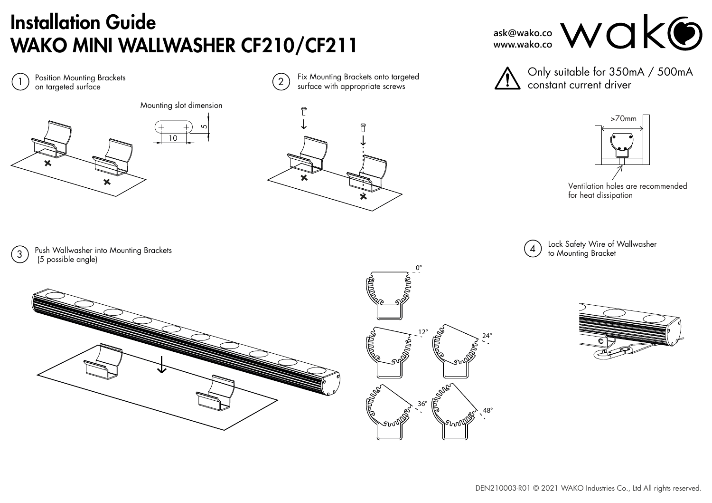# Installation Guide WAKO MINI WALLWASHER CF210/CF211



ask@wako.co WOK**O** 

>70mm